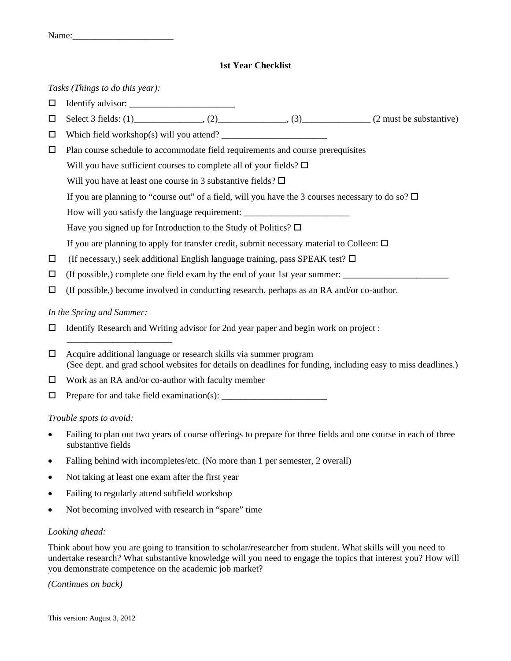# **1st Year Checklist**

*Tasks (Things to do this year):* 

- Identify advisor: \_\_\_\_\_\_\_\_\_\_\_\_\_\_\_\_\_\_\_\_\_\_\_
- $\Box$  Select 3 fields: (1)\_\_\_\_\_\_\_\_\_\_\_\_\_\_, (2)\_\_\_\_\_\_\_\_\_\_\_\_\_\_, (3)\_\_\_\_\_\_\_\_\_\_\_\_\_\_\_(2 must be substantive)
- Which field workshop(s) will you attend? \_\_\_\_\_\_\_\_\_\_\_\_\_\_\_\_\_\_\_\_\_\_\_
- $\Box$  Plan course schedule to accommodate field requirements and course prerequisites
	- Will you have sufficient courses to complete all of your fields?  $\square$
	- Will you have at least one course in 3 substantive fields?  $\square$
	- If you are planning to "course out" of a field, will you have the 3 courses necessary to do so?  $\Box$
	- How will you satisfy the language requirement:
	- Have you signed up for Introduction to the Study of Politics?  $\Box$
	- If you are planning to apply for transfer credit, submit necessary material to Colleen:  $\Box$
- $\Box$  (If necessary,) seek additional English language training, pass SPEAK test?  $\Box$
- $\Box$  (If possible,) complete one field exam by the end of your 1st year summer:
- $\Box$  (If possible,) become involved in conducting research, perhaps as an RA and/or co-author.

# *In the Spring and Summer:*

\_\_\_\_\_\_\_\_\_\_\_\_\_\_\_\_\_\_\_\_\_\_\_

- $\Box$  Identify Research and Writing advisor for 2nd year paper and begin work on project :
- $\Box$  Acquire additional language or research skills via summer program (See dept. and grad school websites for details on deadlines for funding, including easy to miss deadlines.)
- $\Box$  Work as an RA and/or co-author with faculty member
- $\Box$  Prepare for and take field examination(s):

# *Trouble spots to avoid:*

- Failing to plan out two years of course offerings to prepare for three fields and one course in each of three substantive fields
- Falling behind with incompletes/etc. (No more than 1 per semester, 2 overall)
- Not taking at least one exam after the first year
- Failing to regularly attend subfield workshop
- Not becoming involved with research in "spare" time

# *Looking ahead:*

Think about how you are going to transition to scholar/researcher from student. What skills will you need to undertake research? What substantive knowledge will you need to engage the topics that interest you? How will you demonstrate competence on the academic job market?

*(Continues on back)*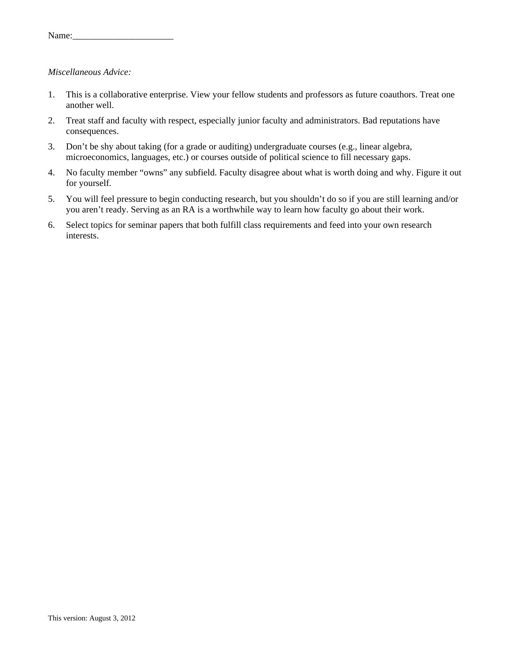| Name: |  |
|-------|--|
|       |  |

#### *Miscellaneous Advice:*

- 1. This is a collaborative enterprise. View your fellow students and professors as future coauthors. Treat one another well.
- 2. Treat staff and faculty with respect, especially junior faculty and administrators. Bad reputations have consequences.
- 3. Don't be shy about taking (for a grade or auditing) undergraduate courses (e.g., linear algebra, microeconomics, languages, etc.) or courses outside of political science to fill necessary gaps.
- 4. No faculty member "owns" any subfield. Faculty disagree about what is worth doing and why. Figure it out for yourself.
- 5. You will feel pressure to begin conducting research, but you shouldn't do so if you are still learning and/or you aren't ready. Serving as an RA is a worthwhile way to learn how faculty go about their work.
- 6. Select topics for seminar papers that both fulfill class requirements and feed into your own research interests.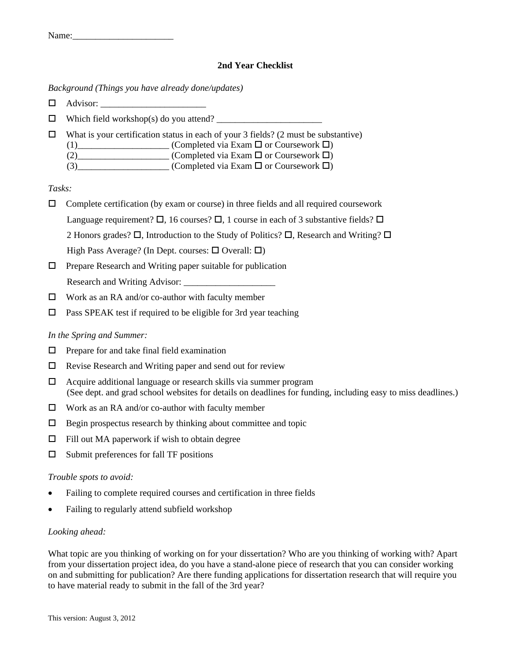Name:\_\_\_\_\_\_\_\_\_\_\_\_\_\_\_\_\_\_\_\_\_\_

# **2nd Year Checklist**

#### *Background (Things you have already done/updates)*

- Advisor: \_\_\_\_\_\_\_\_\_\_\_\_\_\_\_\_\_\_\_\_\_\_\_
- $\Box$  Which field workshop(s) do you attend?
- $\Box$  What is your certification status in each of your 3 fields? (2 must be substantive)
	- $(1)$ \_\_\_\_\_\_\_\_\_\_\_\_\_\_\_\_\_\_\_\_\_ (Completed via Exam  $\Box$  or Coursework  $\Box$ )
		- (2)  $\Box$  (Completed via Exam  $\Box$  or Coursework  $\Box$ )
		- (3) (Completed via Exam  $\Box$  or Coursework  $\Box$ )

# *Tasks:*

- $\Box$  Complete certification (by exam or course) in three fields and all required coursework Language requirement?  $\Box$ , 16 courses?  $\Box$ , 1 course in each of 3 substantive fields?  $\Box$ 2 Honors grades?  $\Box$ , Introduction to the Study of Politics?  $\Box$ , Research and Writing?  $\Box$ High Pass Average? (In Dept. courses:  $\Box$  Overall:  $\Box$ )
- $\Box$  Prepare Research and Writing paper suitable for publication Research and Writing Advisor:
- $\Box$  Work as an RA and/or co-author with faculty member
- $\square$  Pass SPEAK test if required to be eligible for 3rd year teaching

# *In the Spring and Summer:*

- $\Box$  Prepare for and take final field examination
- $\Box$  Revise Research and Writing paper and send out for review
- $\Box$  Acquire additional language or research skills via summer program (See dept. and grad school websites for details on deadlines for funding, including easy to miss deadlines.)
- □ Work as an RA and/or co-author with faculty member
- $\Box$  Begin prospectus research by thinking about committee and topic
- $\Box$  Fill out MA paperwork if wish to obtain degree
- $\square$  Submit preferences for fall TF positions

# *Trouble spots to avoid:*

- Failing to complete required courses and certification in three fields
- Failing to regularly attend subfield workshop

# *Looking ahead:*

What topic are you thinking of working on for your dissertation? Who are you thinking of working with? Apart from your dissertation project idea, do you have a stand-alone piece of research that you can consider working on and submitting for publication? Are there funding applications for dissertation research that will require you to have material ready to submit in the fall of the 3rd year?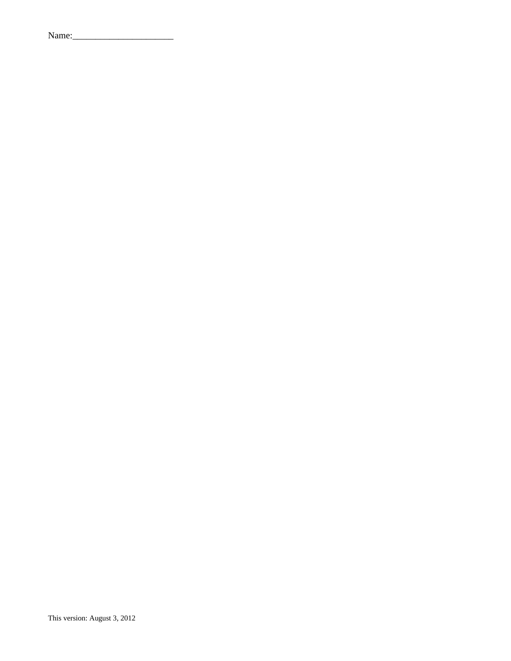| Name: |  |
|-------|--|
|-------|--|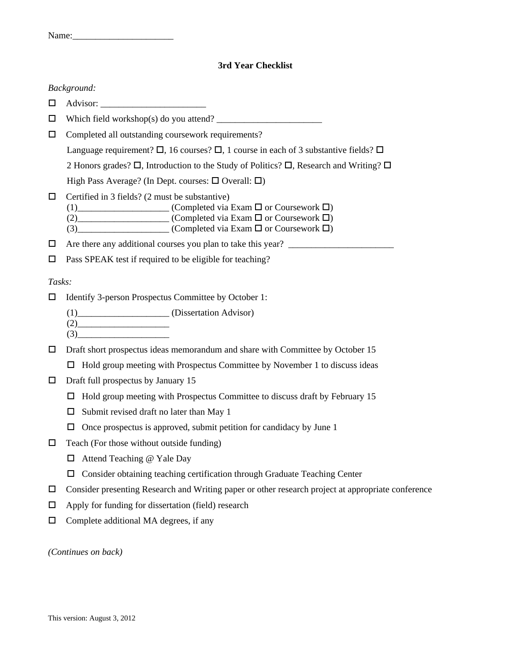| Name: |  |  |  |
|-------|--|--|--|
|       |  |  |  |

# **3rd Year Checklist**

#### *Background:*

- Advisor: \_\_\_\_\_\_\_\_\_\_\_\_\_\_\_\_\_\_\_\_\_\_\_
- $\Box$  Which field workshop(s) do you attend?
- $\Box$  Completed all outstanding coursework requirements?

Language requirement?  $\Box$ , 16 courses?  $\Box$ , 1 course in each of 3 substantive fields?  $\Box$ 

2 Honors grades?  $\Box$ , Introduction to the Study of Politics?  $\Box$ , Research and Writing?  $\Box$ 

High Pass Average? (In Dept. courses:  $\Box$  Overall:  $\Box$ )

- $\Box$  Certified in 3 fields? (2 must be substantive)
	- (1)\_\_\_\_\_\_\_\_\_\_\_\_\_\_\_\_\_\_\_\_\_\_ (Completed via Exam  $\Box$  or Coursework  $\Box$ )
	- (2)\_\_\_\_\_\_\_\_\_\_\_\_\_\_\_\_\_\_\_\_\_ (Completed via Exam  $\Box$  or Coursework  $\Box$ )
	- $(3)$  (Completed via Exam  $\square$  or Coursework  $\square$ )
- $\Box$  Are there any additional courses you plan to take this year?
- $\square$  Pass SPEAK test if required to be eligible for teaching?

#### *Tasks:*

- $\Box$  Identify 3-person Prospectus Committee by October 1:
	- (1)\_\_\_\_\_\_\_\_\_\_\_\_\_\_\_\_\_\_\_\_ (Dissertation Advisor)
	- $(2)$  $(3)$

 $\square$  Draft short prospectus ideas memorandum and share with Committee by October 15

- $\Box$  Hold group meeting with Prospectus Committee by November 1 to discuss ideas
- $\Box$  Draft full prospectus by January 15
	- $\Box$  Hold group meeting with Prospectus Committee to discuss draft by February 15
	- $\Box$  Submit revised draft no later than May 1
	- $\Box$  Once prospectus is approved, submit petition for candidacy by June 1
- $\Box$  Teach (For those without outside funding)
	- □ Attend Teaching @ Yale Day
	- $\Box$  Consider obtaining teaching certification through Graduate Teaching Center
- Consider presenting Research and Writing paper or other research project at appropriate conference
- $\Box$  Apply for funding for dissertation (field) research
- Complete additional MA degrees, if any

*(Continues on back)*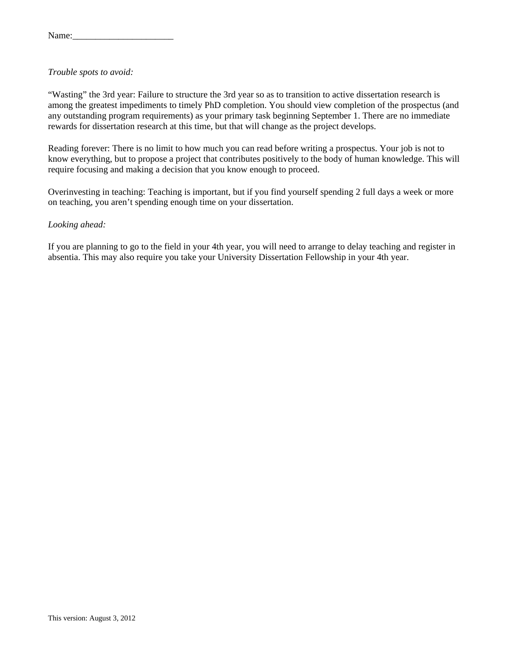#### *Trouble spots to avoid:*

"Wasting" the 3rd year: Failure to structure the 3rd year so as to transition to active dissertation research is among the greatest impediments to timely PhD completion. You should view completion of the prospectus (and any outstanding program requirements) as your primary task beginning September 1. There are no immediate rewards for dissertation research at this time, but that will change as the project develops.

Reading forever: There is no limit to how much you can read before writing a prospectus. Your job is not to know everything, but to propose a project that contributes positively to the body of human knowledge. This will require focusing and making a decision that you know enough to proceed.

Overinvesting in teaching: Teaching is important, but if you find yourself spending 2 full days a week or more on teaching, you aren't spending enough time on your dissertation.

#### *Looking ahead:*

If you are planning to go to the field in your 4th year, you will need to arrange to delay teaching and register in absentia. This may also require you take your University Dissertation Fellowship in your 4th year.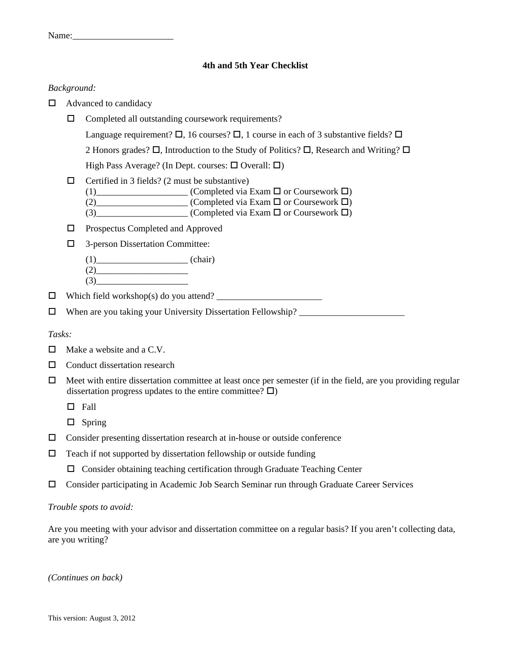Name:\_\_\_\_\_\_\_\_\_\_\_\_\_\_\_\_\_\_\_\_\_\_

#### **4th and 5th Year Checklist**

#### *Background:*

- $\Box$  Advanced to candidacy
	- Completed all outstanding coursework requirements?

Language requirement?  $\Box$ , 16 courses?  $\Box$ , 1 course in each of 3 substantive fields?  $\Box$ 

2 Honors grades?  $\Box$ , Introduction to the Study of Politics?  $\Box$ , Research and Writing?  $\Box$ 

High Pass Average? (In Dept. courses:  $\Box$  Overall:  $\Box$ )

 $\Box$  Certified in 3 fields? (2 must be substantive)

(1)\_\_\_\_\_\_\_\_\_\_\_\_\_\_\_\_\_\_\_\_\_\_ (Completed via Exam  $\Box$  or Coursework  $\Box$ )

(2)\_\_\_\_\_\_\_\_\_\_\_\_\_\_\_\_\_\_\_\_ (Completed via Exam or Coursework )

 $(3)$  (Completed via Exam  $\square$  or Coursework  $\square$ )

- Prospectus Completed and Approved
- 3-person Dissertation Committee:
	- $(1)$  (chair)
	- $(2)$  $(3)$

Which field workshop(s) do you attend? \_\_\_\_\_\_\_\_\_\_\_\_\_\_\_\_\_\_\_\_\_\_\_

When are you taking your University Dissertation Fellowship? \_\_\_\_\_\_\_\_\_\_\_\_\_\_\_\_\_\_\_\_\_\_\_

#### *Tasks:*

- $\Box$  Make a website and a C.V.
- $\Box$  Conduct dissertation research
- $\Box$  Meet with entire dissertation committee at least once per semester (if in the field, are you providing regular dissertation progress updates to the entire committee?  $\Box$ )
	- $\Box$  Fall
	- $\square$  Spring
- $\Box$  Consider presenting dissertation research at in-house or outside conference
- $\Box$  Teach if not supported by dissertation fellowship or outside funding
	- $\Box$  Consider obtaining teaching certification through Graduate Teaching Center
- Consider participating in Academic Job Search Seminar run through Graduate Career Services

# *Trouble spots to avoid:*

Are you meeting with your advisor and dissertation committee on a regular basis? If you aren't collecting data, are you writing?

*(Continues on back)*